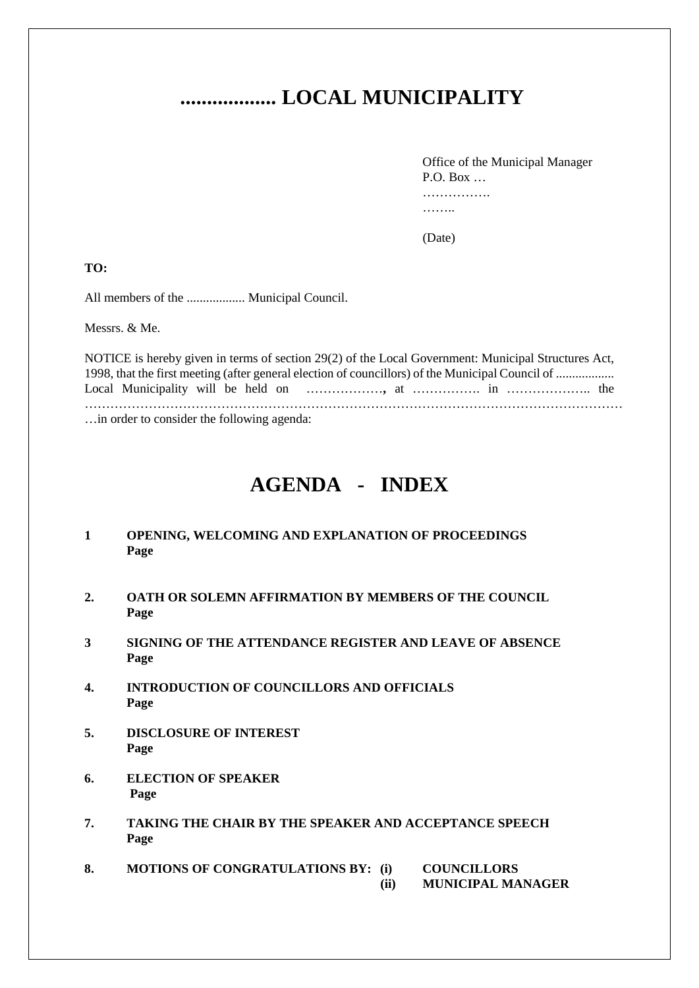# **.................. LOCAL MUNICIPALITY**

Office of the Municipal Manager P.O. Box  $\ldots$ ……………… ………

(Date)

**TO:**

All members of the .................. Municipal Council.

Messrs. & Me.

NOTICE is hereby given in terms of section 29(2) of the Local Government: Municipal Structures Act, 1998, that the first meeting (after general election of councillors) of the Municipal Council of .................. Local Municipality will be held on ………………**,** at ……………. in ……………….. the ……………………………………………………………………………………………………………… …in order to consider the following agenda:

**AGENDA - INDEX**

# **1 OPENING, WELCOMING AND EXPLANATION OF PROCEEDINGS Page**

- **2. OATH OR SOLEMN AFFIRMATION BY MEMBERS OF THE COUNCIL Page**
- **3 SIGNING OF THE ATTENDANCE REGISTER AND LEAVE OF ABSENCE Page**
- **4. INTRODUCTION OF COUNCILLORS AND OFFICIALS Page**
- **5. DISCLOSURE OF INTEREST Page**
- **6. ELECTION OF SPEAKER Page**
- **7. TAKING THE CHAIR BY THE SPEAKER AND ACCEPTANCE SPEECH Page**
- **8. MOTIONS OF CONGRATULATIONS BY: (i) COUNCILLORS (ii) MUNICIPAL MANAGER**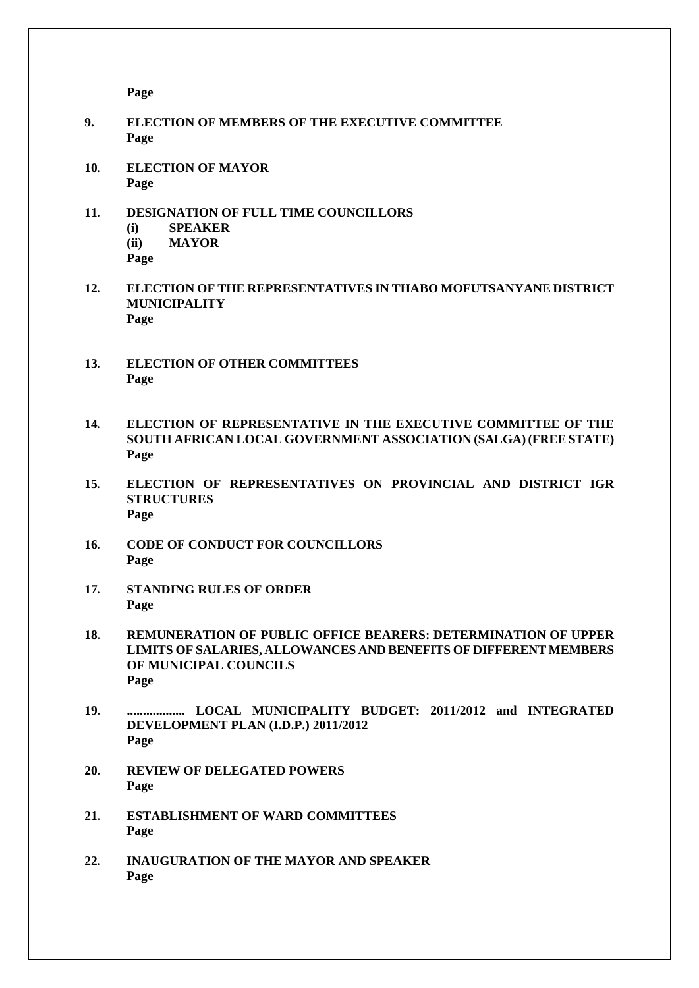**Page**

- **9. ELECTION OF MEMBERS OF THE EXECUTIVE COMMITTEE Page**
- **10. ELECTION OF MAYOR Page**
- **11. DESIGNATION OF FULL TIME COUNCILLORS (i) SPEAKER (ii) MAYOR Page**
- **12. ELECTION OF THE REPRESENTATIVES IN THABO MOFUTSANYANE DISTRICT MUNICIPALITY Page**
- **13. ELECTION OF OTHER COMMITTEES Page**
- **14. ELECTION OF REPRESENTATIVE IN THE EXECUTIVE COMMITTEE OF THE SOUTH AFRICAN LOCAL GOVERNMENT ASSOCIATION (SALGA) (FREE STATE) Page**
- **15. ELECTION OF REPRESENTATIVES ON PROVINCIAL AND DISTRICT IGR STRUCTURES Page**
- **16. CODE OF CONDUCT FOR COUNCILLORS Page**
- **17. STANDING RULES OF ORDER Page**
- **18. REMUNERATION OF PUBLIC OFFICE BEARERS: DETERMINATION OF UPPER LIMITS OF SALARIES, ALLOWANCES AND BENEFITS OF DIFFERENT MEMBERS OF MUNICIPAL COUNCILS Page**
- **19. .................. LOCAL MUNICIPALITY BUDGET: 2011/2012 and INTEGRATED DEVELOPMENT PLAN (I.D.P.) 2011/2012 Page**
- **20. REVIEW OF DELEGATED POWERS Page**
- **21. ESTABLISHMENT OF WARD COMMITTEES Page**
- **22. INAUGURATION OF THE MAYOR AND SPEAKER Page**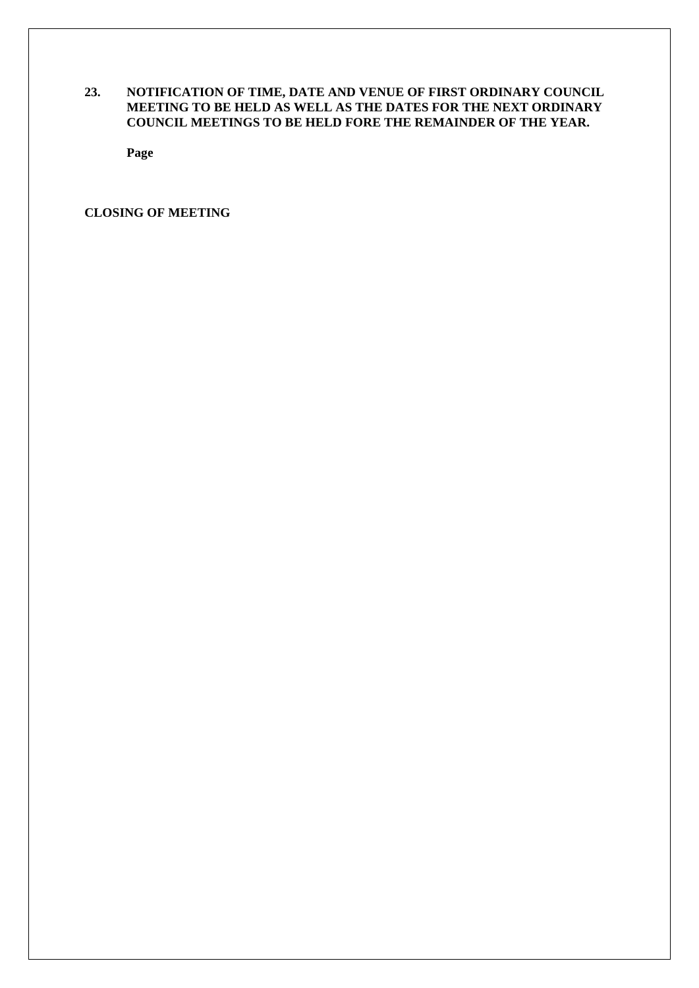# **23. NOTIFICATION OF TIME, DATE AND VENUE OF FIRST ORDINARY COUNCIL MEETING TO BE HELD AS WELL AS THE DATES FOR THE NEXT ORDINARY COUNCIL MEETINGS TO BE HELD FORE THE REMAINDER OF THE YEAR.**

**Page**

**CLOSING OF MEETING**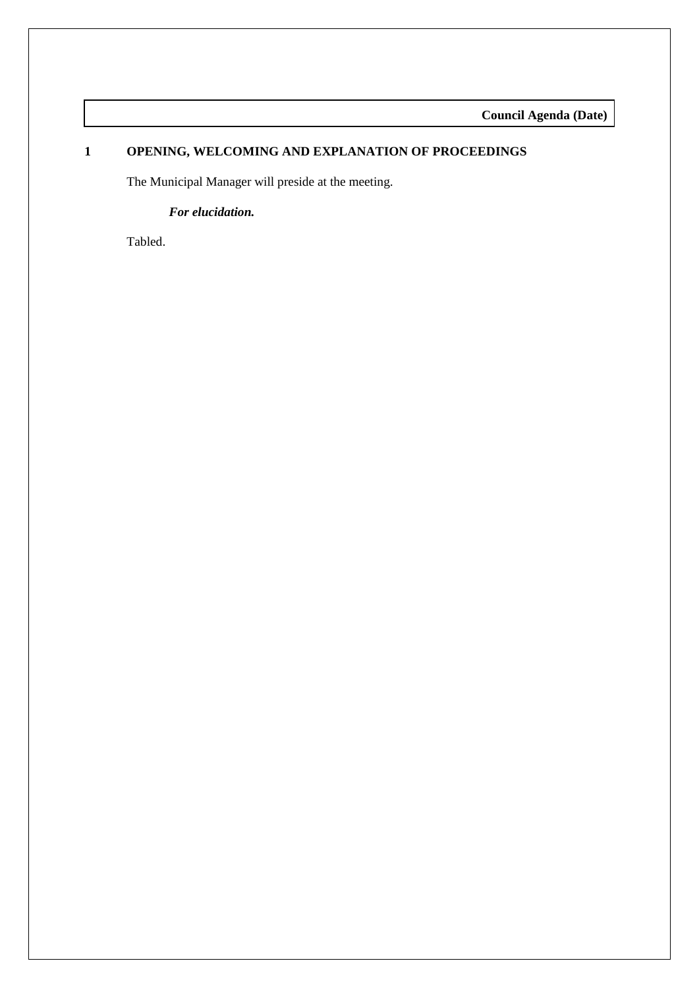**Council Agenda (Date)**

# **1 OPENING, WELCOMING AND EXPLANATION OF PROCEEDINGS**

The Municipal Manager will preside at the meeting.

#### *For elucidation.*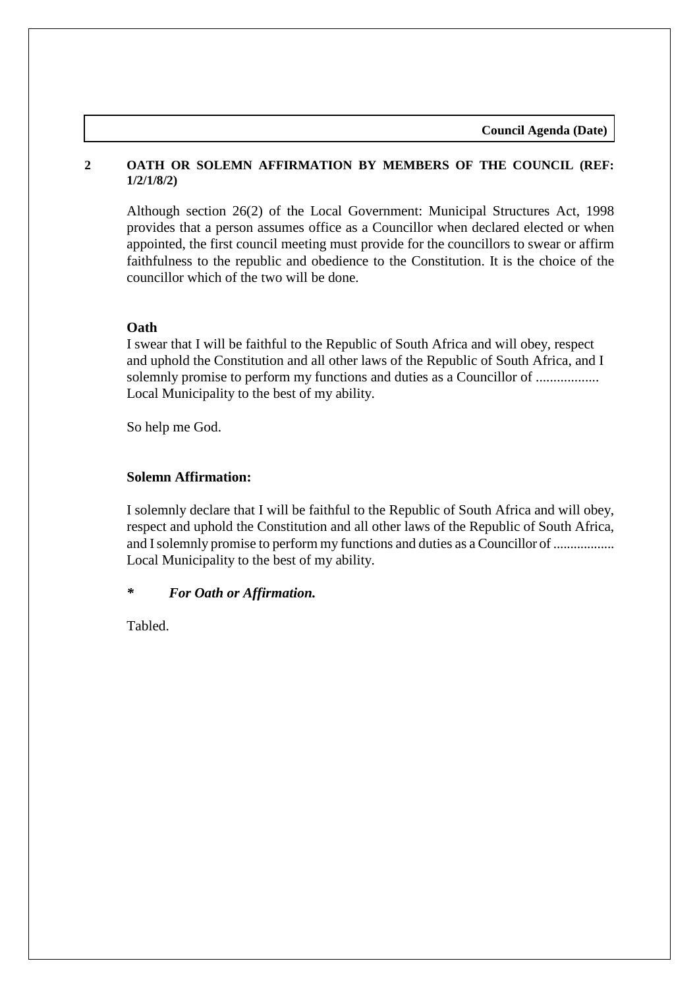**Council Agenda (Date)**

# **2 OATH OR SOLEMN AFFIRMATION BY MEMBERS OF THE COUNCIL (REF: 1/2/1/8/2)**

Although section 26(2) of the Local Government: Municipal Structures Act, 1998 provides that a person assumes office as a Councillor when declared elected or when appointed, the first council meeting must provide for the councillors to swear or affirm faithfulness to the republic and obedience to the Constitution. It is the choice of the councillor which of the two will be done.

# **Oath**

I swear that I will be faithful to the Republic of South Africa and will obey, respect and uphold the Constitution and all other laws of the Republic of South Africa, and I solemnly promise to perform my functions and duties as a Councillor of .................. Local Municipality to the best of my ability.

So help me God.

# **Solemn Affirmation:**

I solemnly declare that I will be faithful to the Republic of South Africa and will obey, respect and uphold the Constitution and all other laws of the Republic of South Africa, and I solemnly promise to perform my functions and duties as a Councillor of .................. Local Municipality to the best of my ability.

# *\* For Oath or Affirmation.*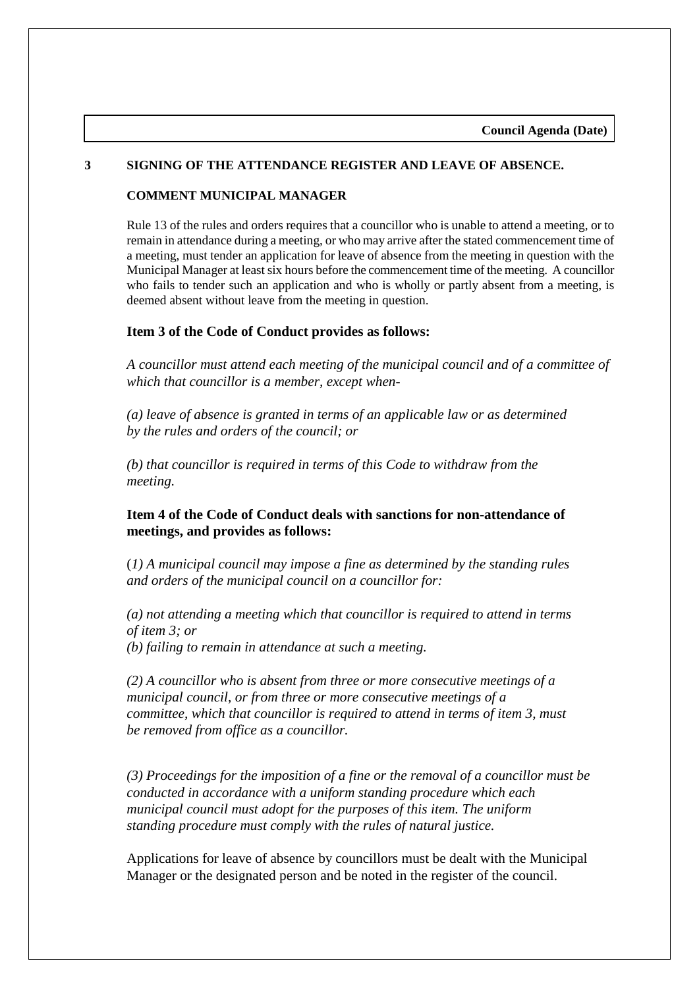#### **3 SIGNING OF THE ATTENDANCE REGISTER AND LEAVE OF ABSENCE.**

#### **COMMENT MUNICIPAL MANAGER**

Rule 13 of the rules and orders requires that a councillor who is unable to attend a meeting, or to remain in attendance during a meeting, or who may arrive after the stated commencement time of a meeting, must tender an application for leave of absence from the meeting in question with the Municipal Manager at least six hours before the commencement time of the meeting. A councillor who fails to tender such an application and who is wholly or partly absent from a meeting, is deemed absent without leave from the meeting in question.

#### **Item 3 of the Code of Conduct provides as follows:**

*A councillor must attend each meeting of the municipal council and of a committee of which that councillor is a member, except when-*

*(a) leave of absence is granted in terms of an applicable law or as determined by the rules and orders of the council; or* 

*(b) that councillor is required in terms of this Code to withdraw from the meeting.* 

## **Item 4 of the Code of Conduct deals with sanctions for non-attendance of meetings, and provides as follows:**

(*1) A municipal council may impose a fine as determined by the standing rules and orders of the municipal council on a councillor for:* 

*(a) not attending a meeting which that councillor is required to attend in terms of item 3; or (b) failing to remain in attendance at such a meeting.* 

*(2) A councillor who is absent from three or more consecutive meetings of a municipal council, or from three or more consecutive meetings of a committee, which that councillor is required to attend in terms of item 3, must be removed from office as a councillor.* 

*(3) Proceedings for the imposition of a fine or the removal of a councillor must be conducted in accordance with a uniform standing procedure which each municipal council must adopt for the purposes of this item. The uniform standing procedure must comply with the rules of natural justice.* 

Applications for leave of absence by councillors must be dealt with the Municipal Manager or the designated person and be noted in the register of the council.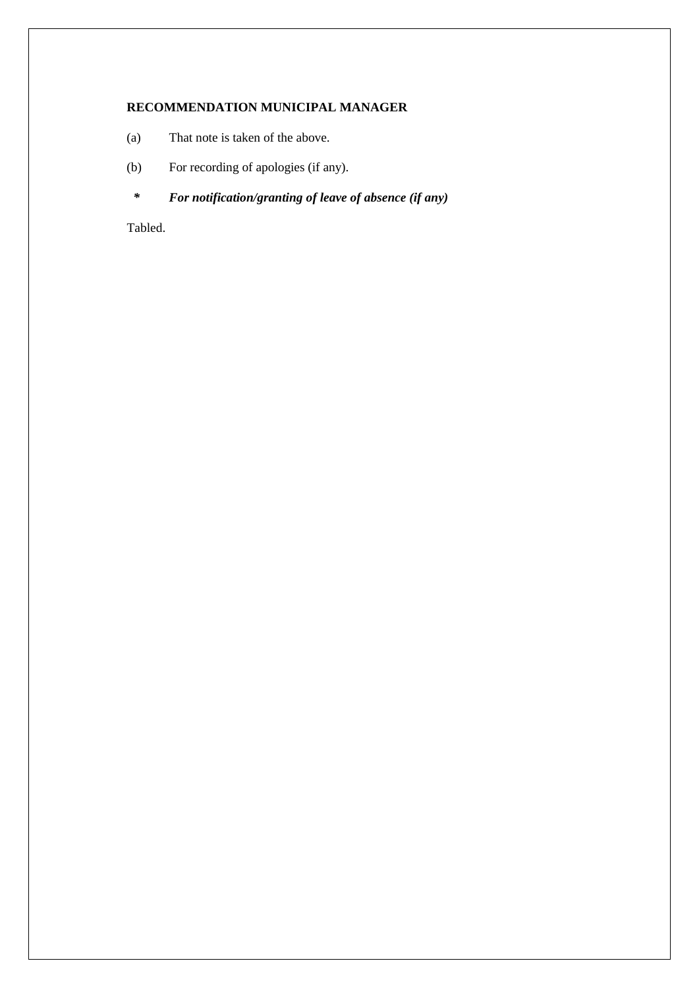#### **RECOMMENDATION MUNICIPAL MANAGER**

- (a) That note is taken of the above.
- (b) For recording of apologies (if any).
	- *\* For notification/granting of leave of absence (if any)*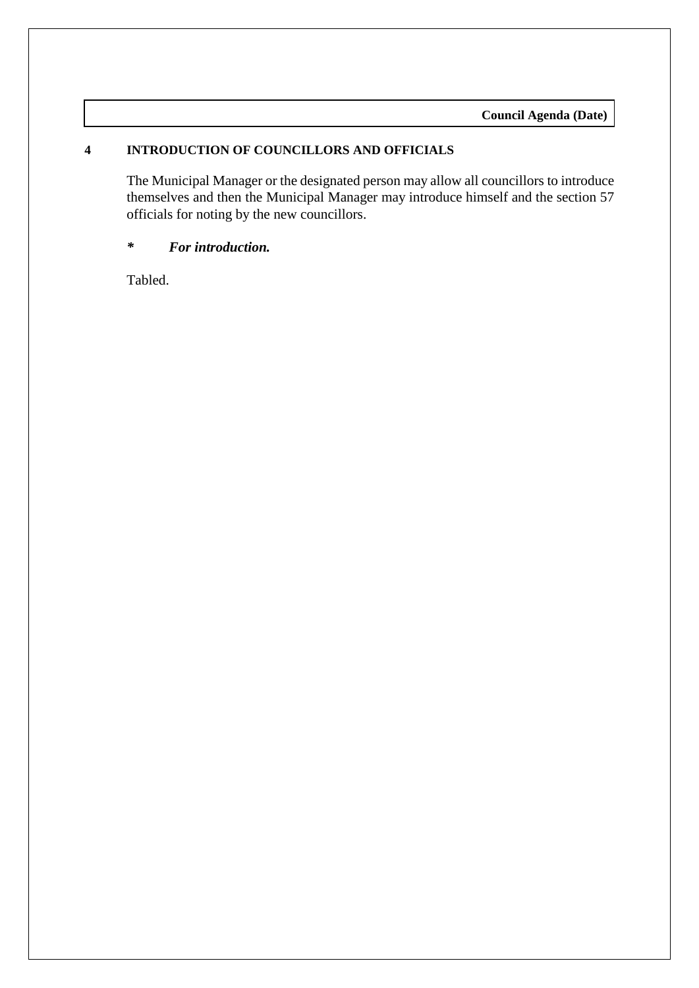# **4 INTRODUCTION OF COUNCILLORS AND OFFICIALS**

The Municipal Manager or the designated person may allow all councillors to introduce themselves and then the Municipal Manager may introduce himself and the section 57 officials for noting by the new councillors.

# *\* For introduction.*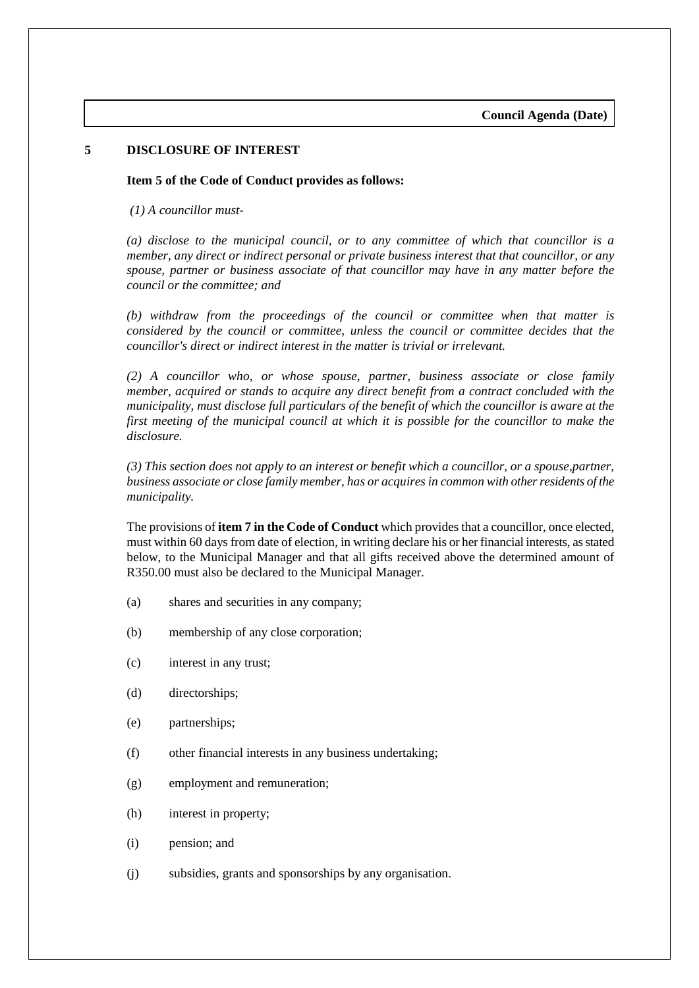#### **5 DISCLOSURE OF INTEREST**

**Item 5 of the Code of Conduct provides as follows:**

*(1) A councillor must-*

*(a) disclose to the municipal council, or to any committee of which that councillor is a member, any direct or indirect personal or private business interest that that councillor, or any spouse, partner or business associate of that councillor may have in any matter before the council or the committee; and* 

*(b) withdraw from the proceedings of the council or committee when that matter is considered by the council or committee, unless the council or committee decides that the councillor's direct or indirect interest in the matter is trivial or irrelevant.* 

*(2) A councillor who, or whose spouse, partner, business associate or close family member, acquired or stands to acquire any direct benefit from a contract concluded with the municipality, must disclose full particulars of the benefit of which the councillor is aware at the first meeting of the municipal council at which it is possible for the councillor to make the disclosure.* 

*(3) This section does not apply to an interest or benefit which a councillor, or a spouse,partner, business associate or close family member, has or acquires in common with other residents of the municipality.* 

The provisions of **item 7 in the Code of Conduct** which provides that a councillor, once elected, must within 60 days from date of election, in writing declare his or her financial interests, as stated below, to the Municipal Manager and that all gifts received above the determined amount of R350.00 must also be declared to the Municipal Manager.

- (a) shares and securities in any company;
- (b) membership of any close corporation;
- (c) interest in any trust;
- (d) directorships;
- (e) partnerships;
- (f) other financial interests in any business undertaking;
- (g) employment and remuneration;
- (h) interest in property;
- (i) pension; and
- (j) subsidies, grants and sponsorships by any organisation.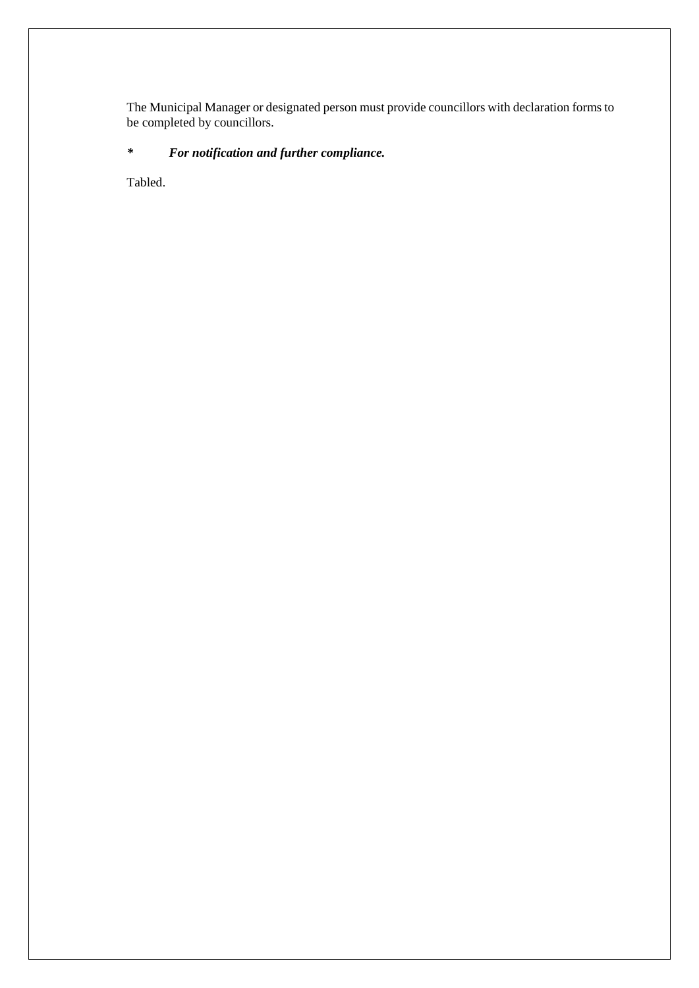The Municipal Manager or designated person must provide councillors with declaration forms to be completed by councillors.

# *\* For notification and further compliance.*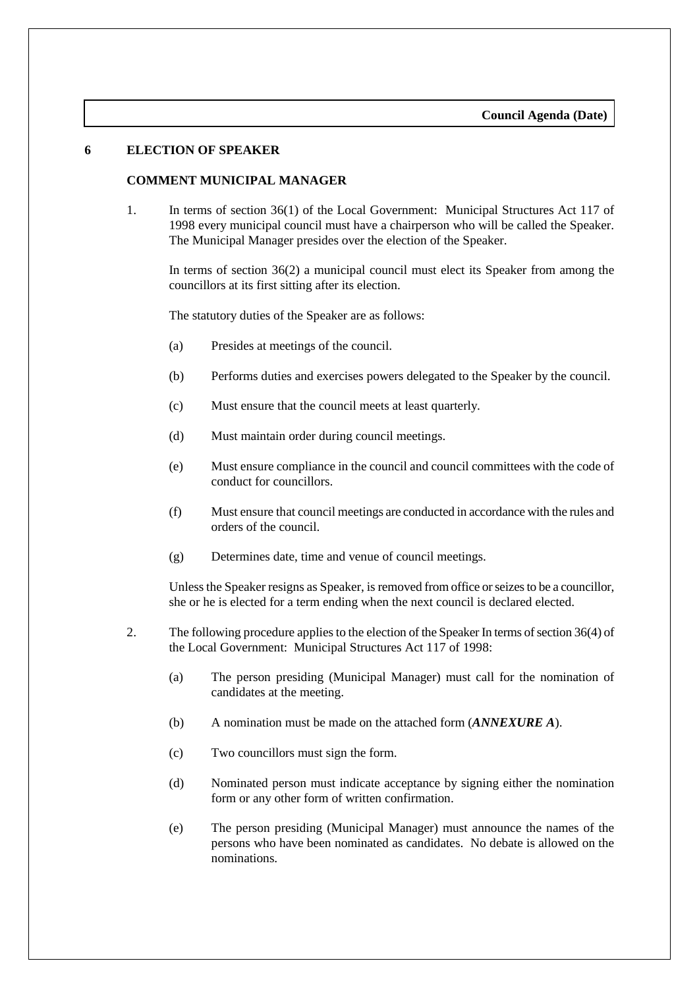#### **6 ELECTION OF SPEAKER**

#### **COMMENT MUNICIPAL MANAGER**

1. In terms of section 36(1) of the Local Government: Municipal Structures Act 117 of 1998 every municipal council must have a chairperson who will be called the Speaker. The Municipal Manager presides over the election of the Speaker.

In terms of section 36(2) a municipal council must elect its Speaker from among the councillors at its first sitting after its election.

The statutory duties of the Speaker are as follows:

- (a) Presides at meetings of the council.
- (b) Performs duties and exercises powers delegated to the Speaker by the council.
- (c) Must ensure that the council meets at least quarterly.
- (d) Must maintain order during council meetings.
- (e) Must ensure compliance in the council and council committees with the code of conduct for councillors.
- (f) Must ensure that council meetings are conducted in accordance with the rules and orders of the council.
- (g) Determines date, time and venue of council meetings.

Unless the Speaker resigns as Speaker, is removed from office or seizes to be a councillor, she or he is elected for a term ending when the next council is declared elected.

- 2. The following procedure applies to the election of the Speaker In terms of section 36(4) of the Local Government: Municipal Structures Act 117 of 1998:
	- (a) The person presiding (Municipal Manager) must call for the nomination of candidates at the meeting.
	- (b) A nomination must be made on the attached form (*ANNEXURE A*).
	- (c) Two councillors must sign the form.
	- (d) Nominated person must indicate acceptance by signing either the nomination form or any other form of written confirmation.
	- (e) The person presiding (Municipal Manager) must announce the names of the persons who have been nominated as candidates. No debate is allowed on the nominations.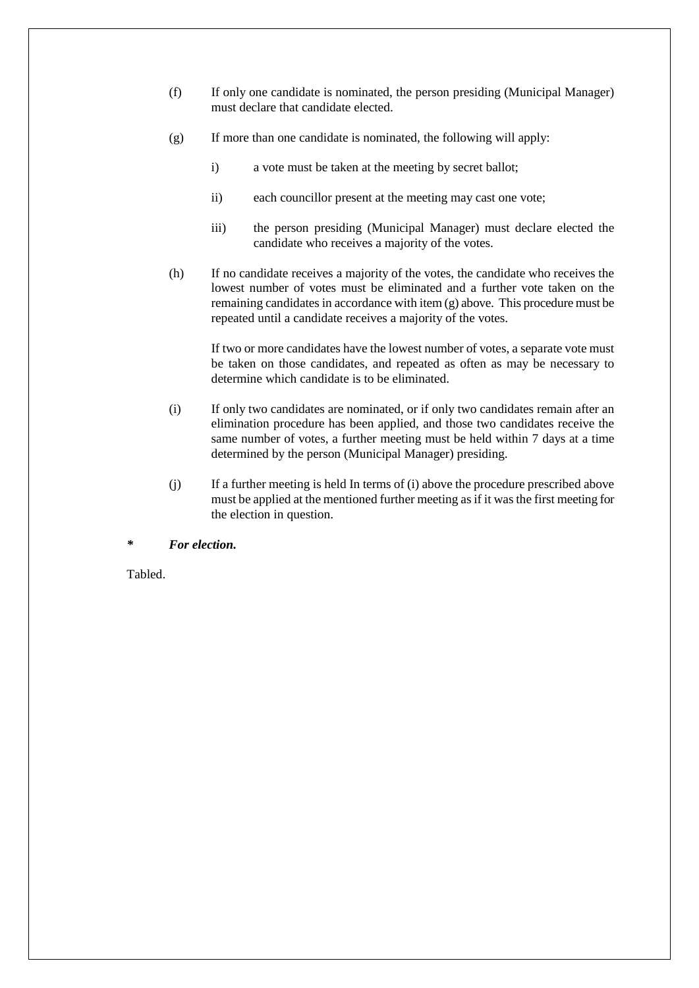- (f) If only one candidate is nominated, the person presiding (Municipal Manager) must declare that candidate elected.
- (g) If more than one candidate is nominated, the following will apply:
	- i) a vote must be taken at the meeting by secret ballot;
	- ii) each councillor present at the meeting may cast one vote;
	- iii) the person presiding (Municipal Manager) must declare elected the candidate who receives a majority of the votes.
- (h) If no candidate receives a majority of the votes, the candidate who receives the lowest number of votes must be eliminated and a further vote taken on the remaining candidates in accordance with item (g) above. This procedure must be repeated until a candidate receives a majority of the votes.

If two or more candidates have the lowest number of votes, a separate vote must be taken on those candidates, and repeated as often as may be necessary to determine which candidate is to be eliminated.

- (i) If only two candidates are nominated, or if only two candidates remain after an elimination procedure has been applied, and those two candidates receive the same number of votes, a further meeting must be held within 7 days at a time determined by the person (Municipal Manager) presiding.
- (j) If a further meeting is held In terms of (i) above the procedure prescribed above must be applied at the mentioned further meeting as if it was the first meeting for the election in question.

#### *\* For election.*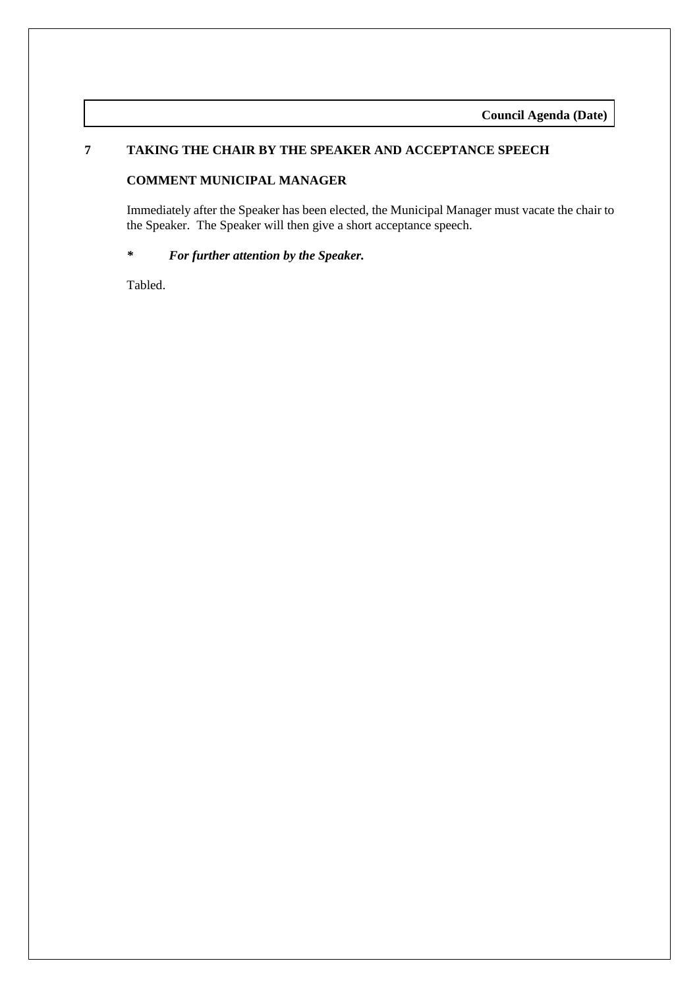# **7 TAKING THE CHAIR BY THE SPEAKER AND ACCEPTANCE SPEECH**

#### **COMMENT MUNICIPAL MANAGER**

Immediately after the Speaker has been elected, the Municipal Manager must vacate the chair to the Speaker. The Speaker will then give a short acceptance speech.

#### *\* For further attention by the Speaker.*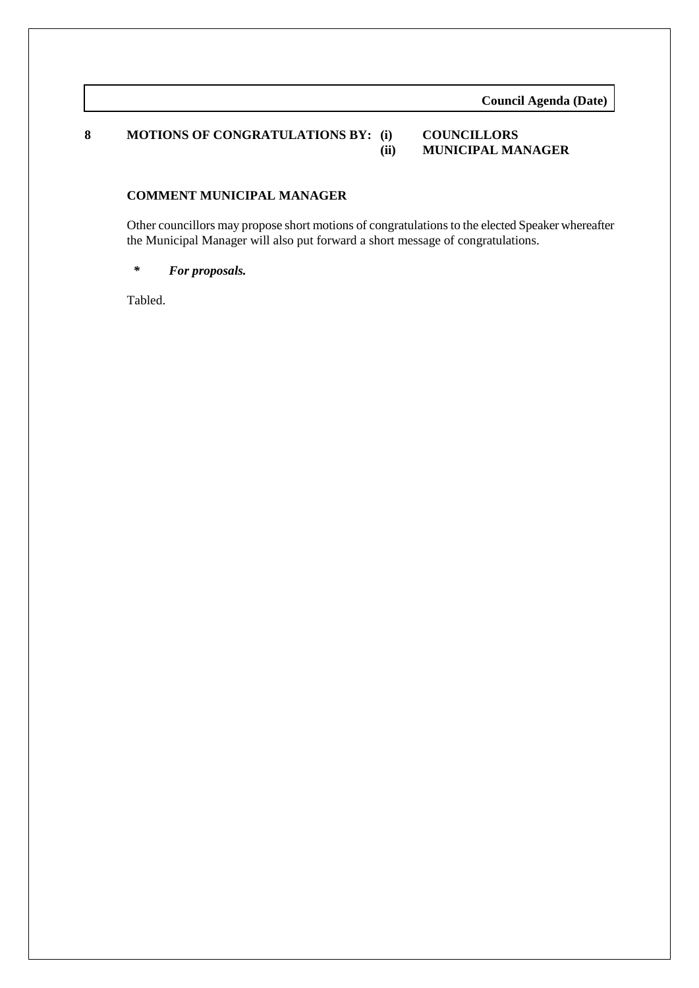# **8 MOTIONS OF CONGRATULATIONS BY: (i) COUNCILLORS**

# **(ii) MUNICIPAL MANAGER**

## **COMMENT MUNICIPAL MANAGER**

Other councillors may propose short motions of congratulations to the elected Speaker whereafter the Municipal Manager will also put forward a short message of congratulations.

#### *\* For proposals.*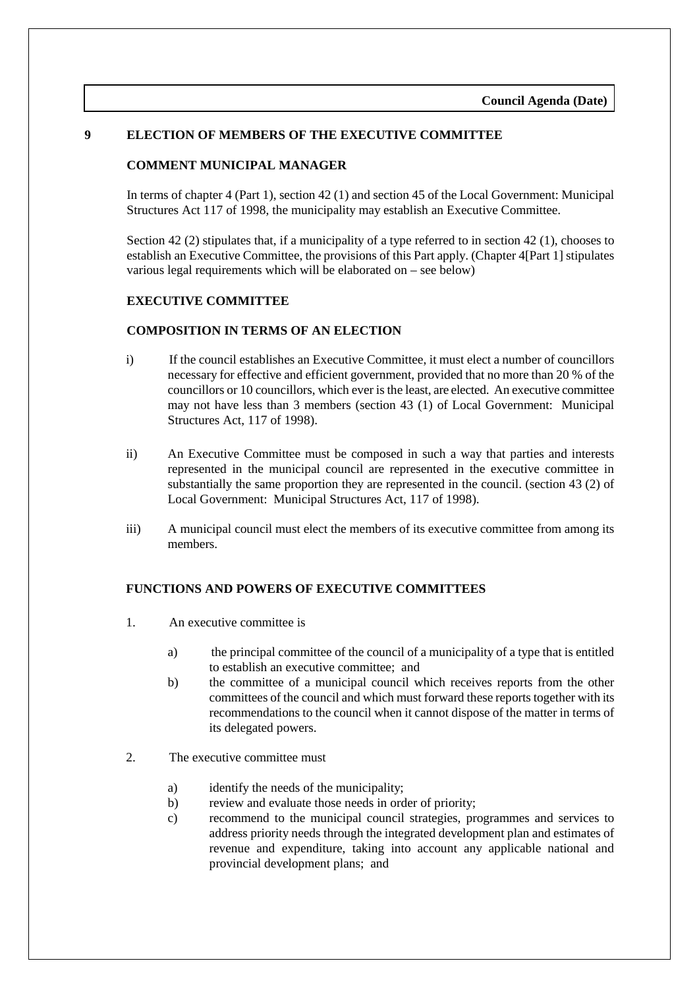#### **9 ELECTION OF MEMBERS OF THE EXECUTIVE COMMITTEE**

#### **COMMENT MUNICIPAL MANAGER**

In terms of chapter 4 (Part 1), section 42 (1) and section 45 of the Local Government: Municipal Structures Act 117 of 1998, the municipality may establish an Executive Committee.

Section 42 (2) stipulates that, if a municipality of a type referred to in section 42 (1), chooses to establish an Executive Committee, the provisions of this Part apply. (Chapter 4[Part 1] stipulates various legal requirements which will be elaborated on – see below)

#### **EXECUTIVE COMMITTEE**

#### **COMPOSITION IN TERMS OF AN ELECTION**

- i) If the council establishes an Executive Committee, it must elect a number of councillors necessary for effective and efficient government, provided that no more than 20 % of the councillors or 10 councillors, which ever is the least, are elected. An executive committee may not have less than 3 members (section 43 (1) of Local Government: Municipal Structures Act, 117 of 1998).
- ii) An Executive Committee must be composed in such a way that parties and interests represented in the municipal council are represented in the executive committee in substantially the same proportion they are represented in the council. (section 43 (2) of Local Government: Municipal Structures Act, 117 of 1998).
- iii) A municipal council must elect the members of its executive committee from among its members.

#### **FUNCTIONS AND POWERS OF EXECUTIVE COMMITTEES**

- 1. An executive committee is
	- a) the principal committee of the council of a municipality of a type that is entitled to establish an executive committee; and
	- b) the committee of a municipal council which receives reports from the other committees of the council and which must forward these reports together with its recommendations to the council when it cannot dispose of the matter in terms of its delegated powers.
- 2. The executive committee must
	- a) identify the needs of the municipality;
	- b) review and evaluate those needs in order of priority;
	- c) recommend to the municipal council strategies, programmes and services to address priority needs through the integrated development plan and estimates of revenue and expenditure, taking into account any applicable national and provincial development plans; and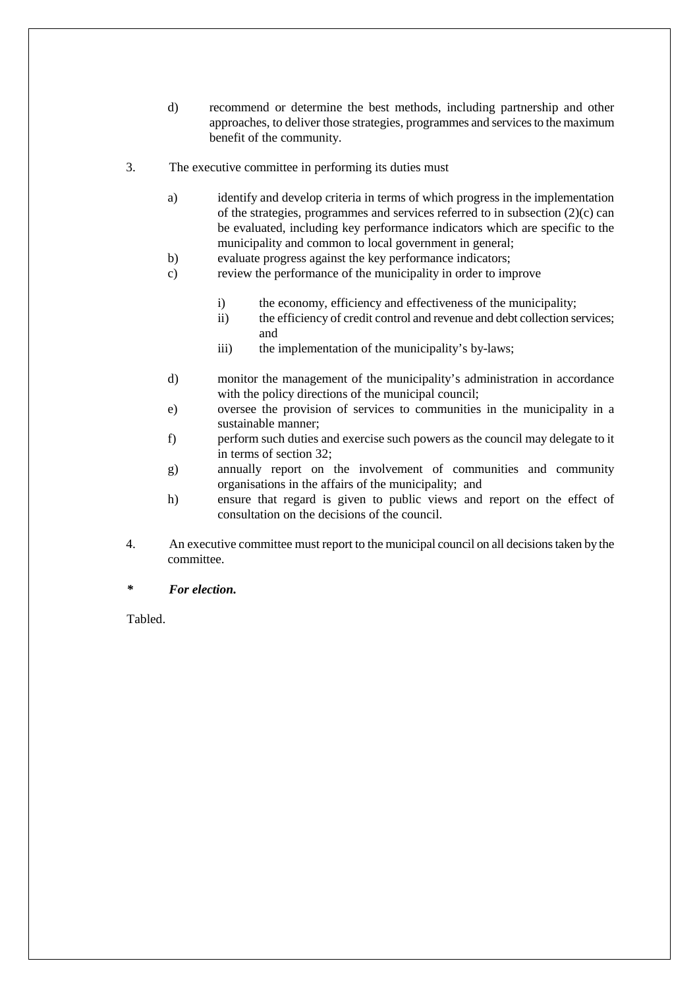- d) recommend or determine the best methods, including partnership and other approaches, to deliver those strategies, programmes and services to the maximum benefit of the community.
- 3. The executive committee in performing its duties must
	- a) identify and develop criteria in terms of which progress in the implementation of the strategies, programmes and services referred to in subsection (2)(c) can be evaluated, including key performance indicators which are specific to the municipality and common to local government in general;
	- b) evaluate progress against the key performance indicators;
	- c) review the performance of the municipality in order to improve
		- i) the economy, efficiency and effectiveness of the municipality;
		- ii) the efficiency of credit control and revenue and debt collection services; and
		- iii) the implementation of the municipality's by-laws;
	- d) monitor the management of the municipality's administration in accordance with the policy directions of the municipal council;
	- e) oversee the provision of services to communities in the municipality in a sustainable manner;
	- f) perform such duties and exercise such powers as the council may delegate to it in terms of section 32;
	- g) annually report on the involvement of communities and community organisations in the affairs of the municipality; and
	- h) ensure that regard is given to public views and report on the effect of consultation on the decisions of the council.
- 4. An executive committee must report to the municipal council on all decisions taken by the committee.
- *\* For election.*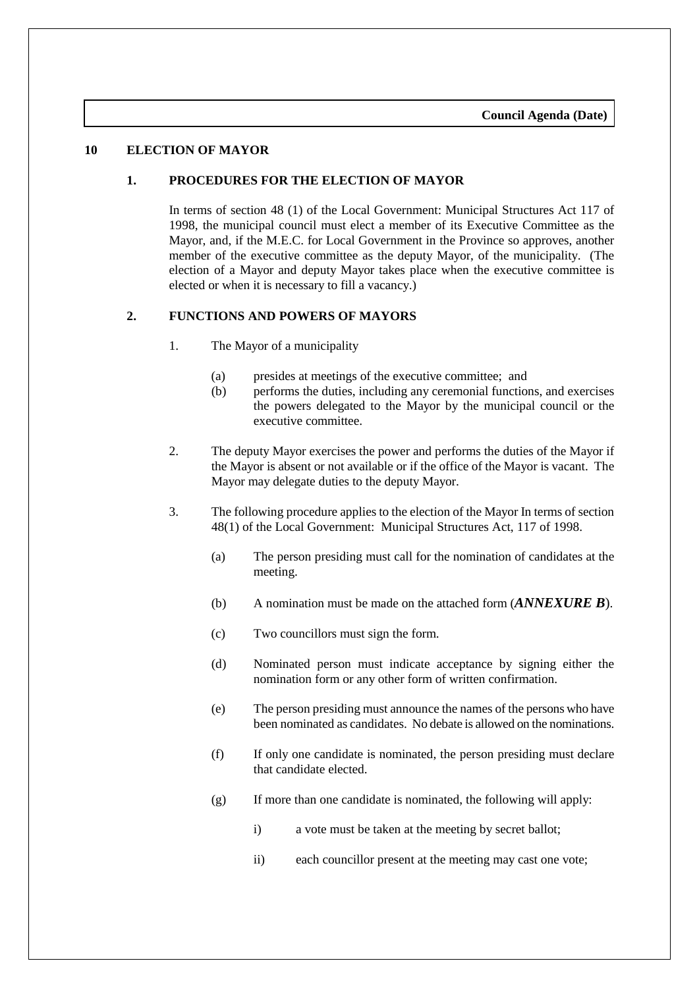#### **10 ELECTION OF MAYOR**

#### **1. PROCEDURES FOR THE ELECTION OF MAYOR**

In terms of section 48 (1) of the Local Government: Municipal Structures Act 117 of 1998, the municipal council must elect a member of its Executive Committee as the Mayor, and, if the M.E.C. for Local Government in the Province so approves, another member of the executive committee as the deputy Mayor, of the municipality. (The election of a Mayor and deputy Mayor takes place when the executive committee is elected or when it is necessary to fill a vacancy.)

#### **2. FUNCTIONS AND POWERS OF MAYORS**

- 1. The Mayor of a municipality
	- (a) presides at meetings of the executive committee; and
	- (b) performs the duties, including any ceremonial functions, and exercises the powers delegated to the Mayor by the municipal council or the executive committee.
- 2. The deputy Mayor exercises the power and performs the duties of the Mayor if the Mayor is absent or not available or if the office of the Mayor is vacant. The Mayor may delegate duties to the deputy Mayor.
- 3. The following procedure applies to the election of the Mayor In terms of section 48(1) of the Local Government: Municipal Structures Act, 117 of 1998.
	- (a) The person presiding must call for the nomination of candidates at the meeting.
	- (b) A nomination must be made on the attached form (*ANNEXURE B*).
	- (c) Two councillors must sign the form.
	- (d) Nominated person must indicate acceptance by signing either the nomination form or any other form of written confirmation.
	- (e) The person presiding must announce the names of the persons who have been nominated as candidates. No debate is allowed on the nominations.
	- (f) If only one candidate is nominated, the person presiding must declare that candidate elected.
	- (g) If more than one candidate is nominated, the following will apply:
		- i) a vote must be taken at the meeting by secret ballot;
		- ii) each councillor present at the meeting may cast one vote;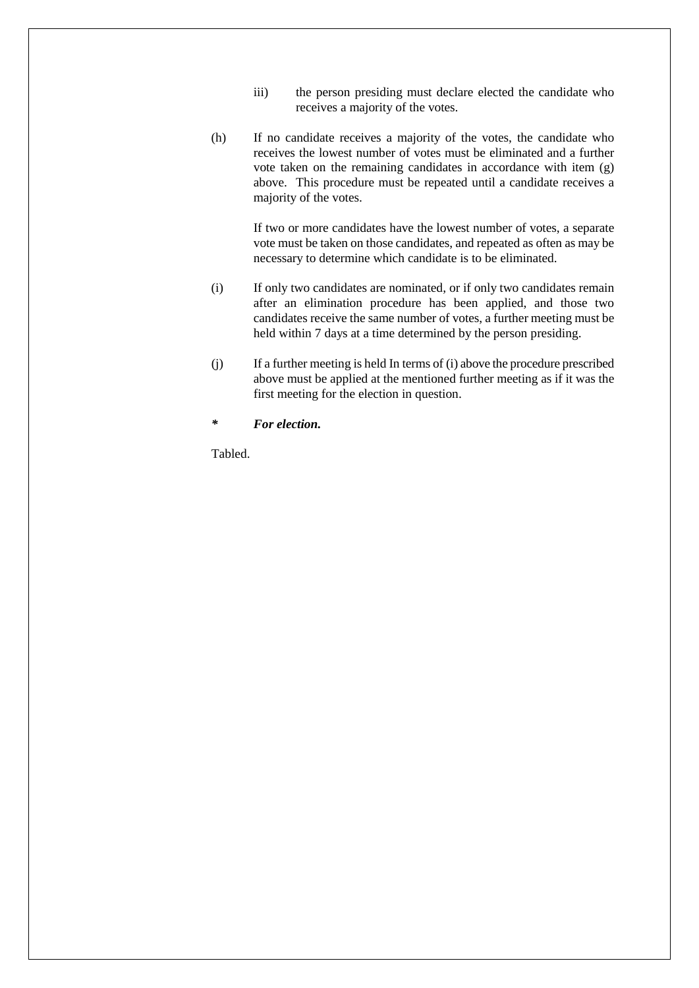- iii) the person presiding must declare elected the candidate who receives a majority of the votes.
- (h) If no candidate receives a majority of the votes, the candidate who receives the lowest number of votes must be eliminated and a further vote taken on the remaining candidates in accordance with item (g) above. This procedure must be repeated until a candidate receives a majority of the votes.

If two or more candidates have the lowest number of votes, a separate vote must be taken on those candidates, and repeated as often as may be necessary to determine which candidate is to be eliminated.

- (i) If only two candidates are nominated, or if only two candidates remain after an elimination procedure has been applied, and those two candidates receive the same number of votes, a further meeting must be held within 7 days at a time determined by the person presiding.
- (j) If a further meeting is held In terms of (i) above the procedure prescribed above must be applied at the mentioned further meeting as if it was the first meeting for the election in question.
- *\* For election.*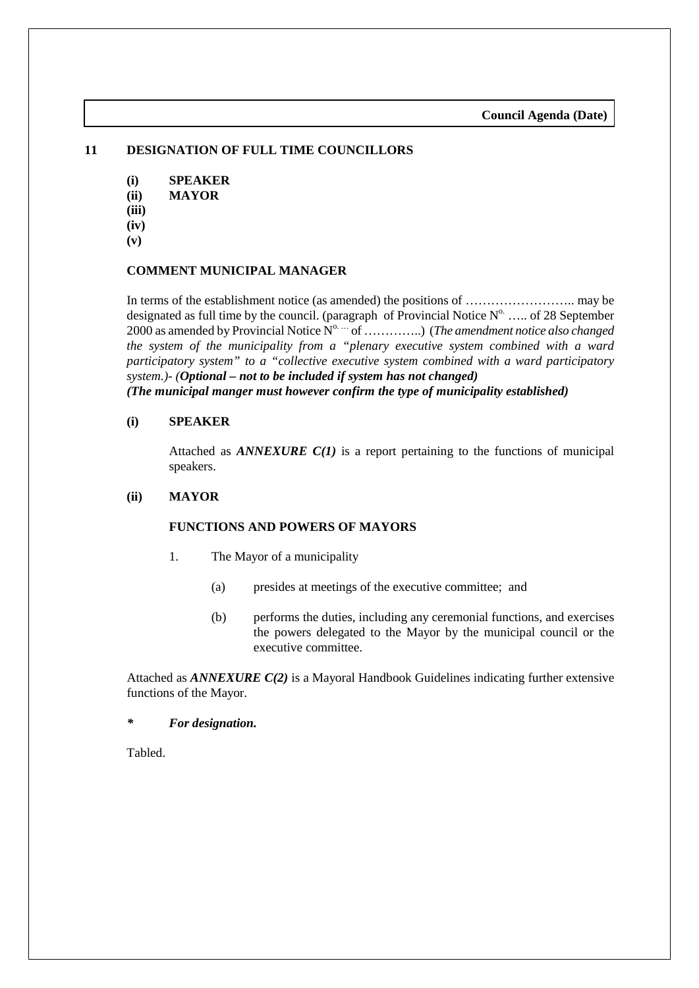# **11 DESIGNATION OF FULL TIME COUNCILLORS**

- **(i) SPEAKER (ii) MAYOR (iii)**
- **(iv)**
- **(v)**

#### **COMMENT MUNICIPAL MANAGER**

In terms of the establishment notice (as amended) the positions of …………………….. may be designated as full time by the council. (paragraph of Provincial Notice  $N^{\circ}$ .... of 28 September 2000 as amended by Provincial Notice N<sup>o. ...</sup> of .................) (*The amendment notice also changed the system of the municipality from a "plenary executive system combined with a ward participatory system" to a "collective executive system combined with a ward participatory system.)- (Optional – not to be included if system has not changed) (The municipal manger must however confirm the type of municipality established)*

#### **(i) SPEAKER**

Attached as *ANNEXURE C(1)* is a report pertaining to the functions of municipal speakers.

#### **(ii) MAYOR**

#### **FUNCTIONS AND POWERS OF MAYORS**

- 1. The Mayor of a municipality
	- (a) presides at meetings of the executive committee; and
	- (b) performs the duties, including any ceremonial functions, and exercises the powers delegated to the Mayor by the municipal council or the executive committee.

Attached as *ANNEXURE C(2)* is a Mayoral Handbook Guidelines indicating further extensive functions of the Mayor.

*\* For designation.*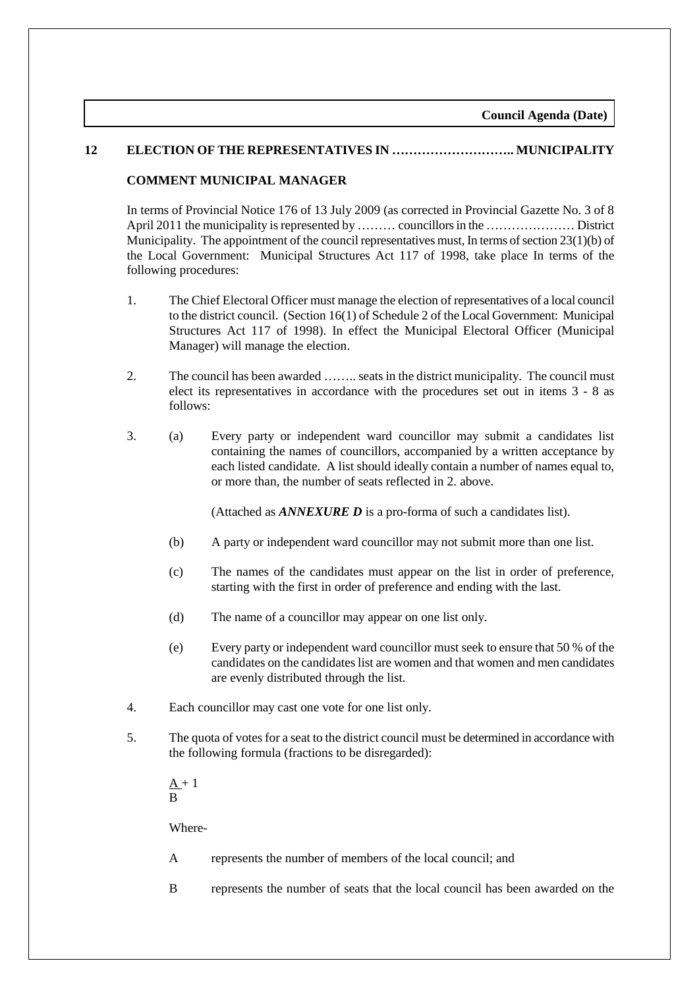#### **12 ELECTION OF THE REPRESENTATIVES IN ……………………….. MUNICIPALITY**

#### **COMMENT MUNICIPAL MANAGER**

In terms of Provincial Notice 176 of 13 July 2009 (as corrected in Provincial Gazette No. 3 of 8 April 2011 the municipality is represented by ……… councillors in the ………………… District Municipality. The appointment of the council representatives must, In terms of section  $23(1)(b)$  of the Local Government: Municipal Structures Act 117 of 1998, take place In terms of the following procedures:

- 1. The Chief Electoral Officer must manage the election of representatives of a local council to the district council. (Section 16(1) of Schedule 2 of the Local Government: Municipal Structures Act 117 of 1998). In effect the Municipal Electoral Officer (Municipal Manager) will manage the election.
- 2. The council has been awarded …….. seats in the district municipality. The council must elect its representatives in accordance with the procedures set out in items 3 - 8 as follows:
- 3. (a) Every party or independent ward councillor may submit a candidates list containing the names of councillors, accompanied by a written acceptance by each listed candidate. A list should ideally contain a number of names equal to, or more than, the number of seats reflected in 2. above.

(Attached as *ANNEXURE D* is a pro-forma of such a candidates list).

- (b) A party or independent ward councillor may not submit more than one list.
- (c) The names of the candidates must appear on the list in order of preference, starting with the first in order of preference and ending with the last.
- (d) The name of a councillor may appear on one list only.
- (e) Every party or independent ward councillor must seek to ensure that 50 % of the candidates on the candidates list are women and that women and men candidates are evenly distributed through the list.
- 4. Each councillor may cast one vote for one list only.
- 5. The quota of votes for a seat to the district council must be determined in accordance with the following formula (fractions to be disregarded):
	- $A + 1$ B

Where-

- A represents the number of members of the local council; and
- B represents the number of seats that the local council has been awarded on the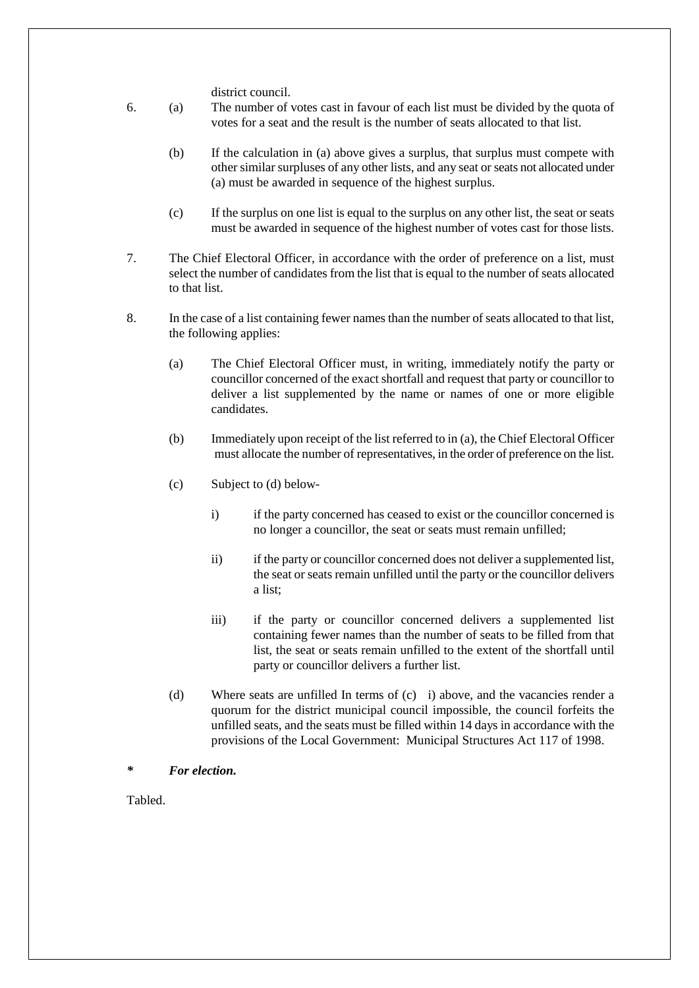district council.

- 6. (a) The number of votes cast in favour of each list must be divided by the quota of votes for a seat and the result is the number of seats allocated to that list.
	- (b) If the calculation in (a) above gives a surplus, that surplus must compete with other similar surpluses of any other lists, and any seat or seats not allocated under (a) must be awarded in sequence of the highest surplus.
	- (c) If the surplus on one list is equal to the surplus on any other list, the seat or seats must be awarded in sequence of the highest number of votes cast for those lists.
- 7. The Chief Electoral Officer, in accordance with the order of preference on a list, must select the number of candidates from the list that is equal to the number of seats allocated to that list.
- 8. In the case of a list containing fewer names than the number of seats allocated to that list, the following applies:
	- (a) The Chief Electoral Officer must, in writing, immediately notify the party or councillor concerned of the exact shortfall and request that party or councillor to deliver a list supplemented by the name or names of one or more eligible candidates.
	- (b) Immediately upon receipt of the list referred to in (a), the Chief Electoral Officer must allocate the number of representatives, in the order of preference on the list.
	- (c) Subject to (d) below
		- i) if the party concerned has ceased to exist or the councillor concerned is no longer a councillor, the seat or seats must remain unfilled;
		- ii) if the party or councillor concerned does not deliver a supplemented list, the seat or seats remain unfilled until the party or the councillor delivers a list;
		- iii) if the party or councillor concerned delivers a supplemented list containing fewer names than the number of seats to be filled from that list, the seat or seats remain unfilled to the extent of the shortfall until party or councillor delivers a further list.
	- (d) Where seats are unfilled In terms of (c) i) above, and the vacancies render a quorum for the district municipal council impossible, the council forfeits the unfilled seats, and the seats must be filled within 14 days in accordance with the provisions of the Local Government: Municipal Structures Act 117 of 1998.
- *\* For election.*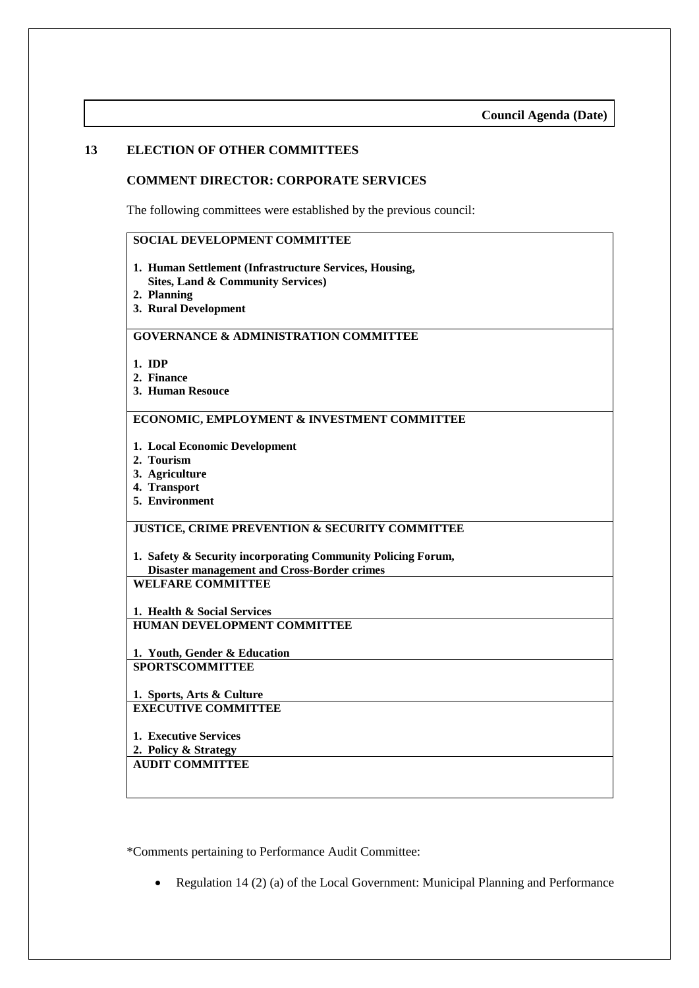#### **13 ELECTION OF OTHER COMMITTEES**

#### **COMMENT DIRECTOR: CORPORATE SERVICES**

The following committees were established by the previous council:

#### **SOCIAL DEVELOPMENT COMMITTEE**

- **1. Human Settlement (Infrastructure Services, Housing, Sites, Land & Community Services)**
- **2. Planning**
- **3. Rural Development**

#### **GOVERNANCE & ADMINISTRATION COMMITTEE**

- **1. IDP**
- **2. Finance**
- **3. Human Resouce**

#### **ECONOMIC, EMPLOYMENT & INVESTMENT COMMITTEE**

- **1. Local Economic Development**
- **2. Tourism**
- **3. Agriculture**
- **4. Transport**
- **5. Environment**

#### **JUSTICE, CRIME PREVENTION & SECURITY COMMITTEE**

**1. Safety & Security incorporating Community Policing Forum, Disaster management and Cross-Border crimes WELFARE COMMITTEE**

**1. Health & Social Services HUMAN DEVELOPMENT COMMITTEE**

**1. Youth, Gender & Education SPORTSCOMMITTEE**

**1. Sports, Arts & Culture EXECUTIVE COMMITTEE**

**1. Executive Services**

**2. Policy & Strategy**

#### **AUDIT COMMITTEE**

\*Comments pertaining to Performance Audit Committee:

• Regulation 14 (2) (a) of the Local Government: Municipal Planning and Performance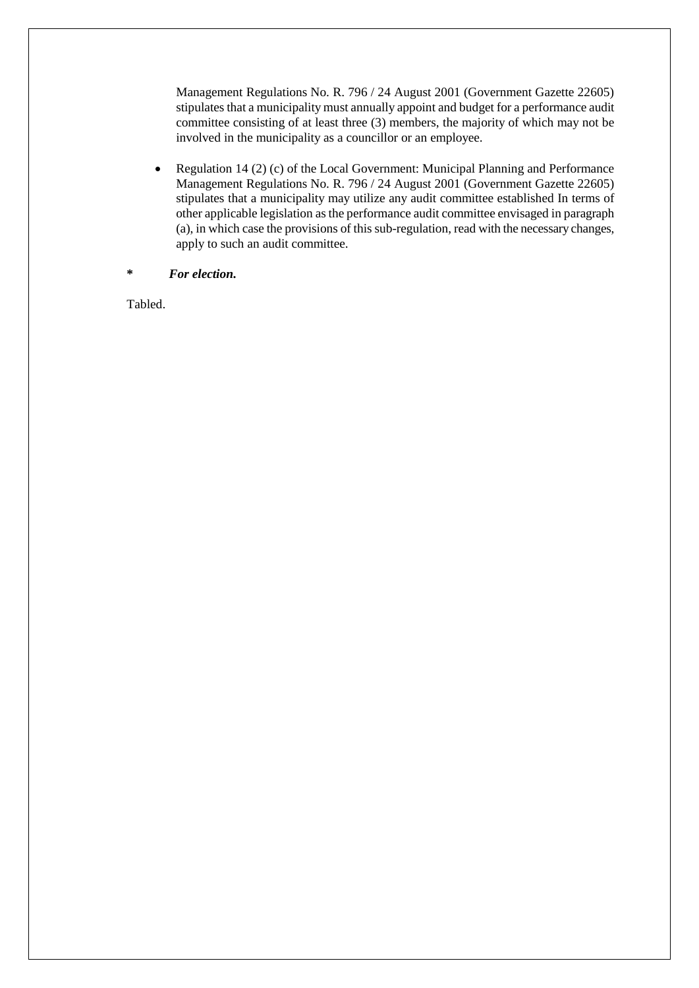Management Regulations No. R. 796 / 24 August 2001 (Government Gazette 22605) stipulates that a municipality must annually appoint and budget for a performance audit committee consisting of at least three (3) members, the majority of which may not be involved in the municipality as a councillor or an employee.

- Regulation 14 (2) (c) of the Local Government: Municipal Planning and Performance Management Regulations No. R. 796 / 24 August 2001 (Government Gazette 22605) stipulates that a municipality may utilize any audit committee established In terms of other applicable legislation as the performance audit committee envisaged in paragraph (a), in which case the provisions of this sub-regulation, read with the necessary changes, apply to such an audit committee.
- **\*** *For election.*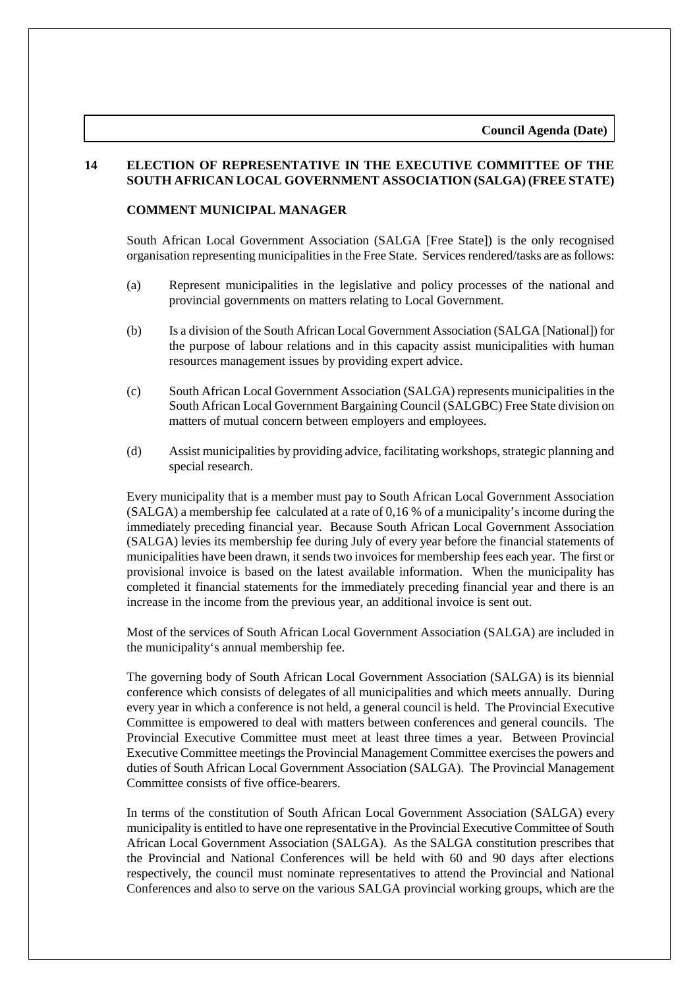#### **14 ELECTION OF REPRESENTATIVE IN THE EXECUTIVE COMMITTEE OF THE SOUTH AFRICAN LOCAL GOVERNMENT ASSOCIATION (SALGA) (FREE STATE)**

#### **COMMENT MUNICIPAL MANAGER**

South African Local Government Association (SALGA [Free State]) is the only recognised organisation representing municipalities in the Free State. Services rendered/tasks are as follows:

- (a) Represent municipalities in the legislative and policy processes of the national and provincial governments on matters relating to Local Government.
- (b) Is a division of the South African Local Government Association (SALGA [National]) for the purpose of labour relations and in this capacity assist municipalities with human resources management issues by providing expert advice.
- (c) South African Local Government Association (SALGA) represents municipalities in the South African Local Government Bargaining Council (SALGBC) Free State division on matters of mutual concern between employers and employees.
- (d) Assist municipalities by providing advice, facilitating workshops, strategic planning and special research.

Every municipality that is a member must pay to South African Local Government Association (SALGA) a membership fee calculated at a rate of 0,16 % of a municipality's income during the immediately preceding financial year. Because South African Local Government Association (SALGA) levies its membership fee during July of every year before the financial statements of municipalities have been drawn, it sends two invoices for membership fees each year. The first or provisional invoice is based on the latest available information. When the municipality has completed it financial statements for the immediately preceding financial year and there is an increase in the income from the previous year, an additional invoice is sent out.

Most of the services of South African Local Government Association (SALGA) are included in the municipality's annual membership fee.

The governing body of South African Local Government Association (SALGA) is its biennial conference which consists of delegates of all municipalities and which meets annually. During every year in which a conference is not held, a general council is held. The Provincial Executive Committee is empowered to deal with matters between conferences and general councils. The Provincial Executive Committee must meet at least three times a year. Between Provincial Executive Committee meetings the Provincial Management Committee exercises the powers and duties of South African Local Government Association (SALGA). The Provincial Management Committee consists of five office-bearers.

In terms of the constitution of South African Local Government Association (SALGA) every municipality is entitled to have one representative in the Provincial Executive Committee of South African Local Government Association (SALGA). As the SALGA constitution prescribes that the Provincial and National Conferences will be held with 60 and 90 days after elections respectively, the council must nominate representatives to attend the Provincial and National Conferences and also to serve on the various SALGA provincial working groups, which are the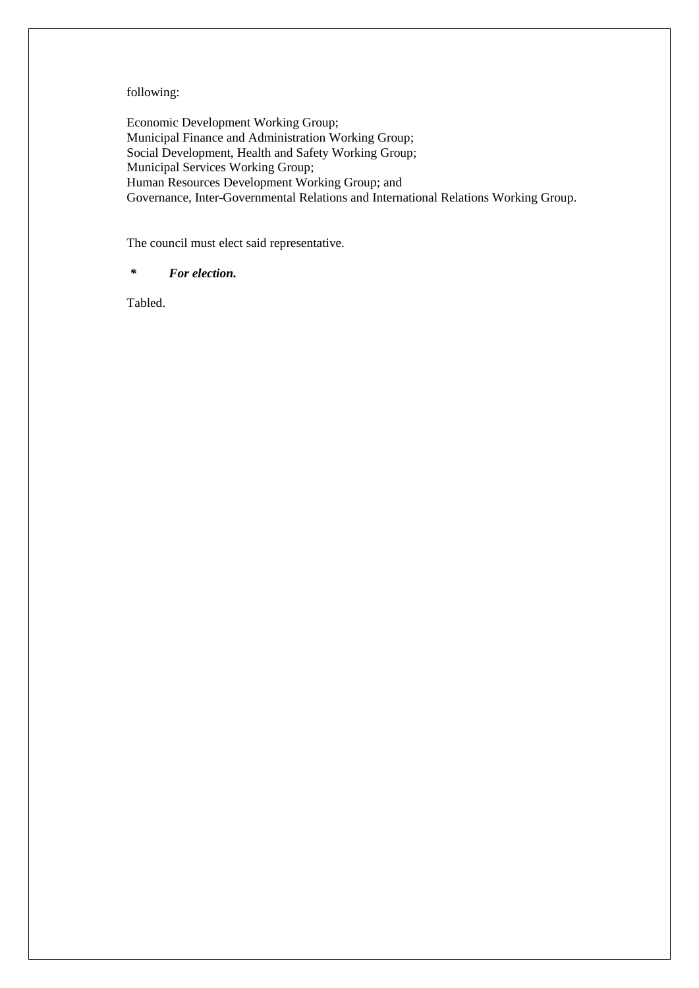#### following:

Economic Development Working Group; Municipal Finance and Administration Working Group; Social Development, Health and Safety Working Group; Municipal Services Working Group; Human Resources Development Working Group; and Governance, Inter-Governmental Relations and International Relations Working Group.

The council must elect said representative.

#### *\* For election.*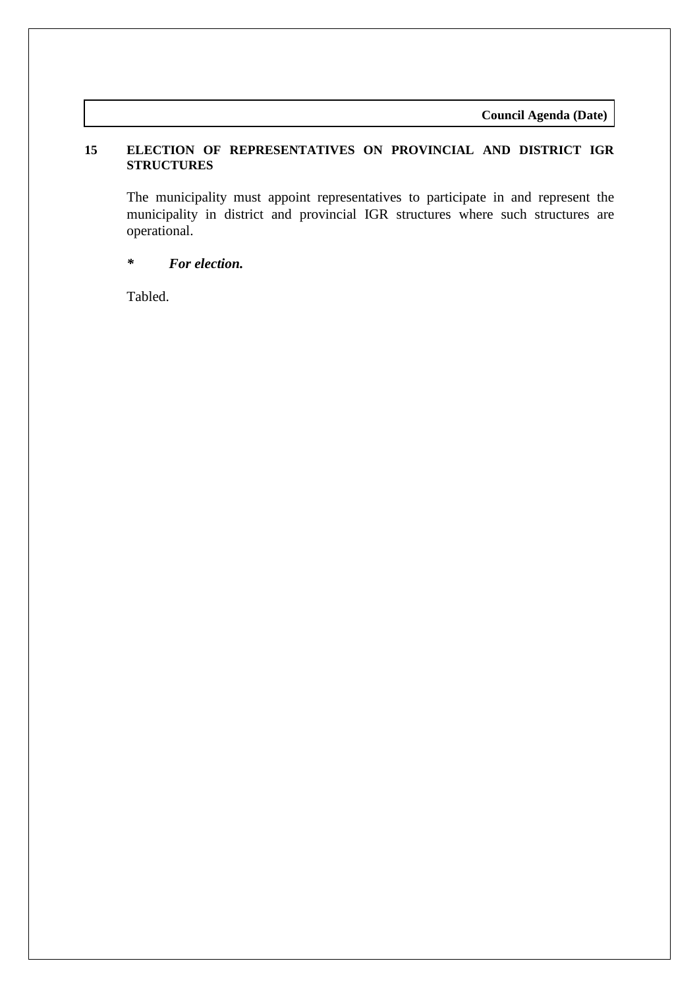**Council Agenda (Date)**

# **15 ELECTION OF REPRESENTATIVES ON PROVINCIAL AND DISTRICT IGR STRUCTURES**

The municipality must appoint representatives to participate in and represent the municipality in district and provincial IGR structures where such structures are operational.

# *\* For election.*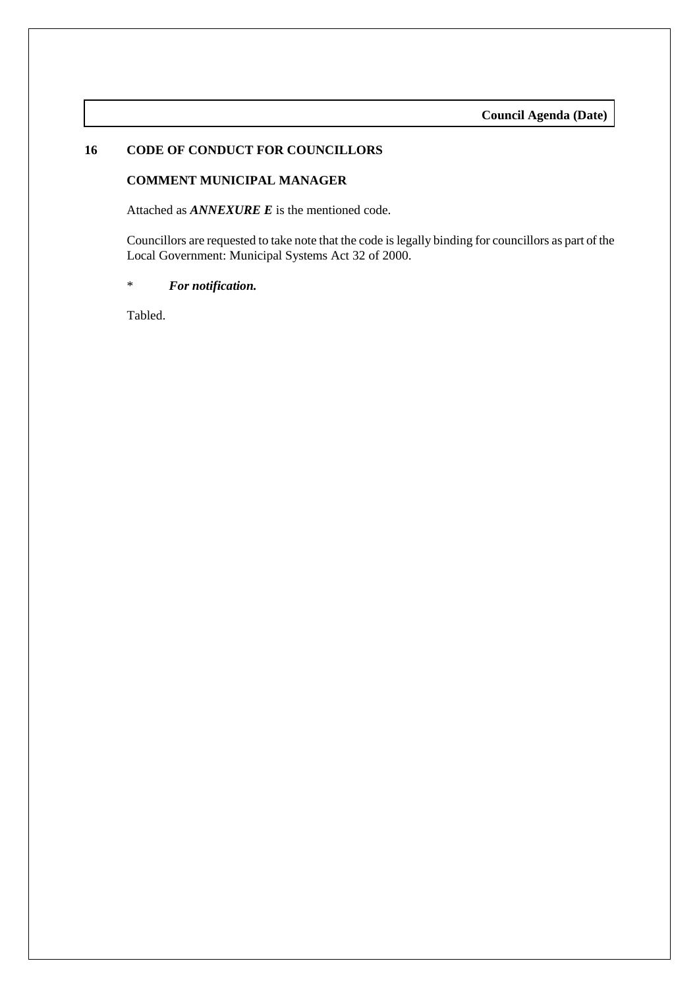#### **16 CODE OF CONDUCT FOR COUNCILLORS**

#### **COMMENT MUNICIPAL MANAGER**

Attached as *ANNEXURE E* is the mentioned code.

Councillors are requested to take note that the code is legally binding for councillors as part of the Local Government: Municipal Systems Act 32 of 2000.

\* *For notification.*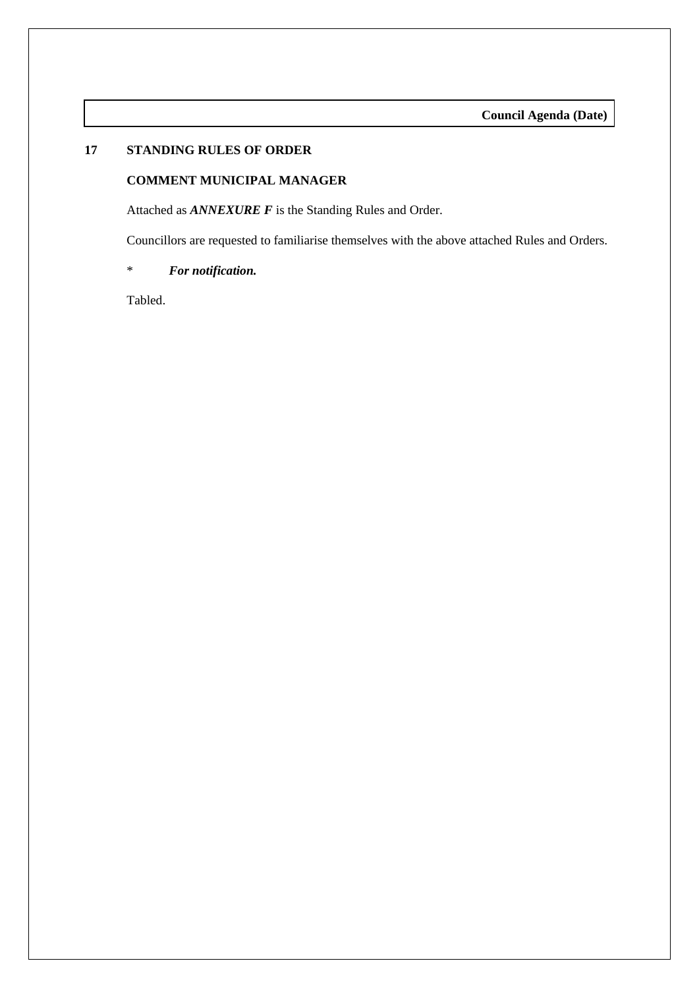# **17 STANDING RULES OF ORDER**

#### **COMMENT MUNICIPAL MANAGER**

Attached as *ANNEXURE F* is the Standing Rules and Order.

Councillors are requested to familiarise themselves with the above attached Rules and Orders.

\* *For notification.*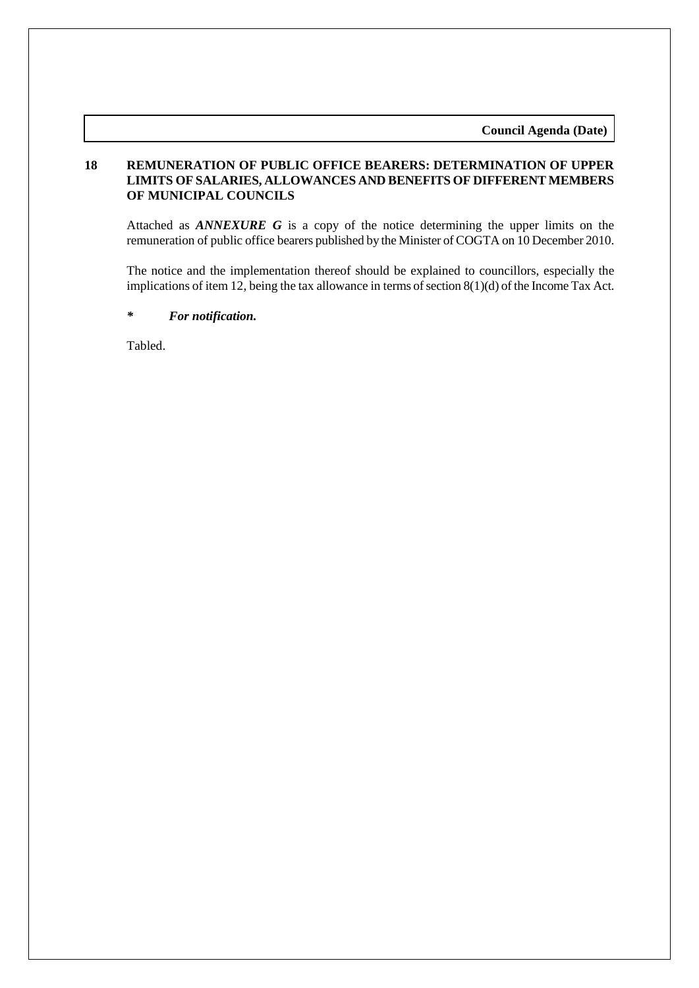**Council Agenda (Date)**

#### **18 REMUNERATION OF PUBLIC OFFICE BEARERS: DETERMINATION OF UPPER LIMITS OF SALARIES, ALLOWANCES AND BENEFITS OF DIFFERENT MEMBERS OF MUNICIPAL COUNCILS**

Attached as *ANNEXURE G* is a copy of the notice determining the upper limits on the remuneration of public office bearers published by the Minister of COGTA on 10 December 2010.

The notice and the implementation thereof should be explained to councillors, especially the implications of item 12, being the tax allowance in terms of section 8(1)(d) of the Income Tax Act.

*\* For notification.*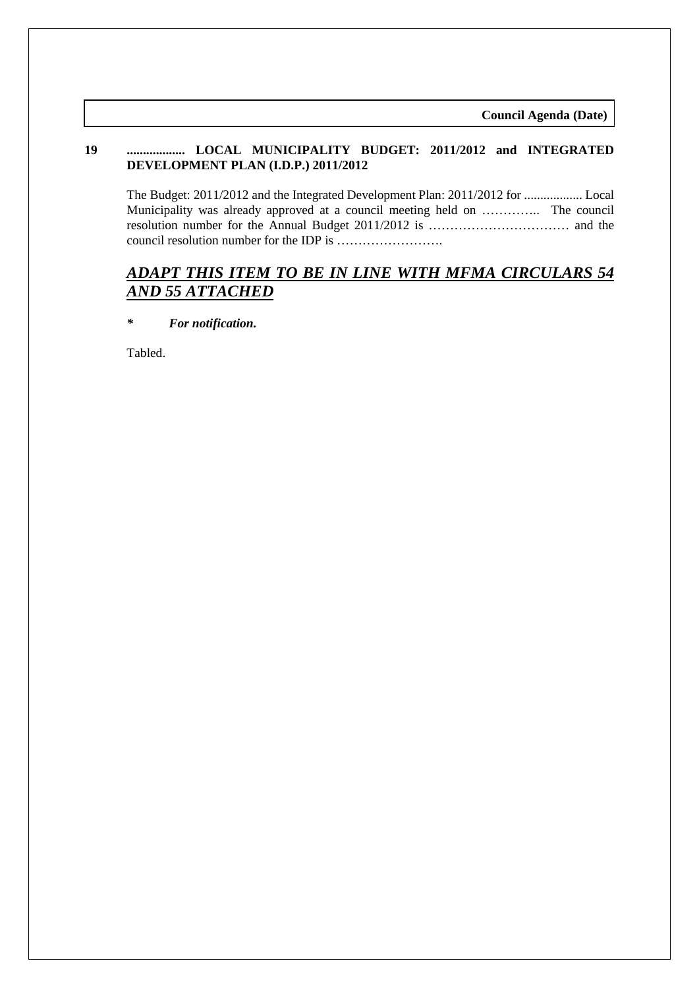# **19 .................. LOCAL MUNICIPALITY BUDGET: 2011/2012 and INTEGRATED DEVELOPMENT PLAN (I.D.P.) 2011/2012**

The Budget: 2011/2012 and the Integrated Development Plan: 2011/2012 for .................. Local Municipality was already approved at a council meeting held on ………….. The council resolution number for the Annual Budget 2011/2012 is …………………………… and the council resolution number for the IDP is …………………….

# *ADAPT THIS ITEM TO BE IN LINE WITH MFMA CIRCULARS 54 AND 55 ATTACHED*

*\* For notification.*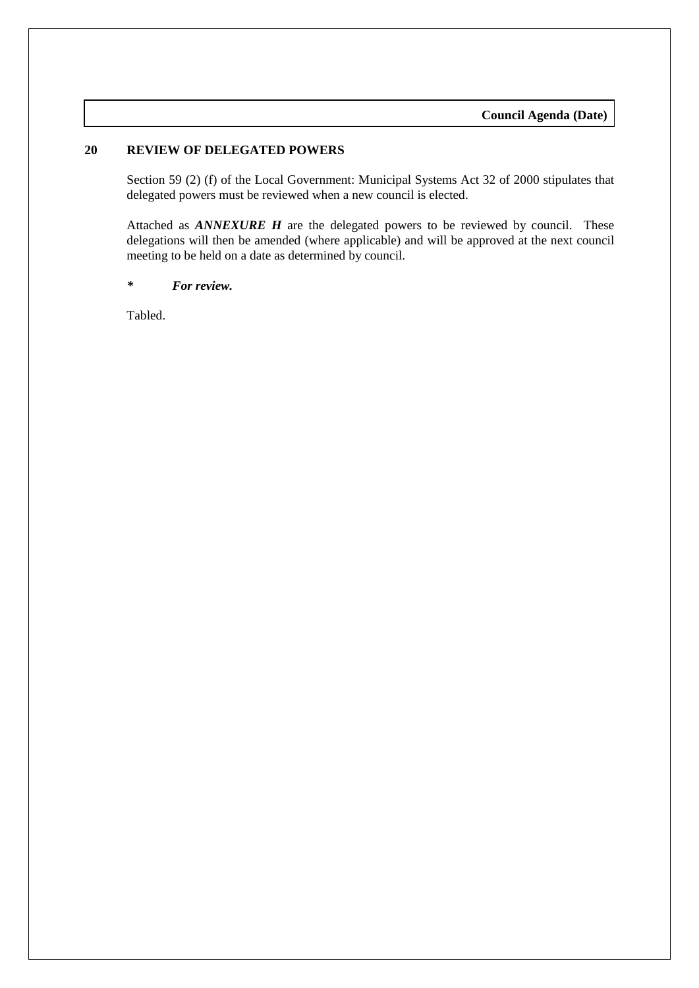# **20 REVIEW OF DELEGATED POWERS**

Section 59 (2) (f) of the Local Government: Municipal Systems Act 32 of 2000 stipulates that delegated powers must be reviewed when a new council is elected.

Attached as *ANNEXURE H* are the delegated powers to be reviewed by council. These delegations will then be amended (where applicable) and will be approved at the next council meeting to be held on a date as determined by council.

#### *\* For review.*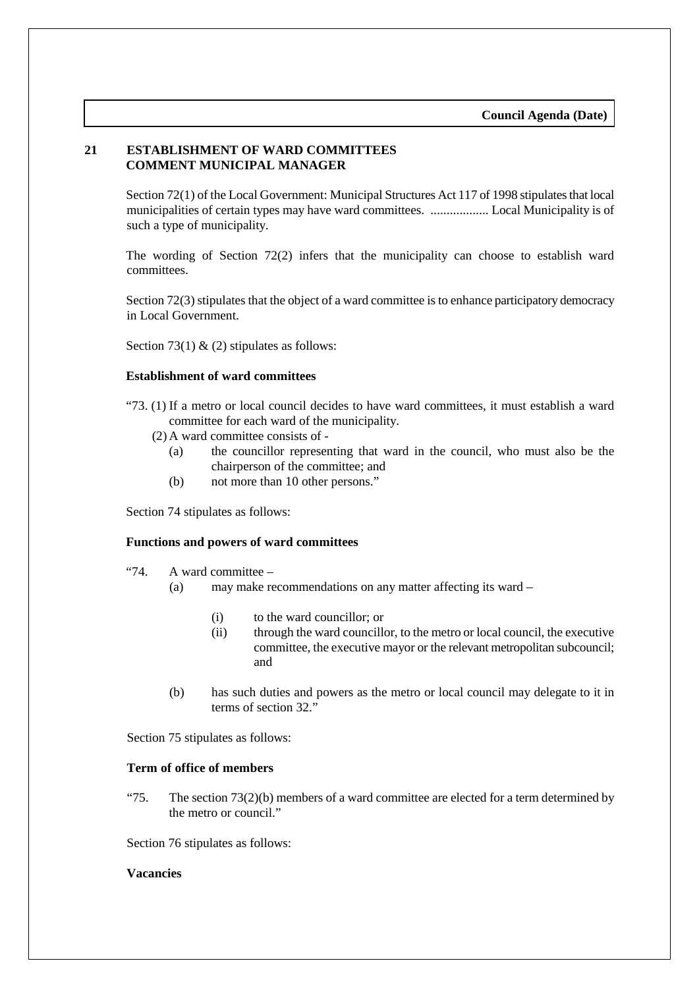# **21 ESTABLISHMENT OF WARD COMMITTEES COMMENT MUNICIPAL MANAGER**

Section 72(1) of the Local Government: Municipal Structures Act 117 of 1998 stipulates that local municipalities of certain types may have ward committees. .................. Local Municipality is of such a type of municipality.

The wording of Section 72(2) infers that the municipality can choose to establish ward committees.

Section 72(3) stipulates that the object of a ward committee is to enhance participatory democracy in Local Government.

Section 73(1)  $\&$  (2) stipulates as follows:

#### **Establishment of ward committees**

- "73. (1) If a metro or local council decides to have ward committees, it must establish a ward committee for each ward of the municipality.
	- (2) A ward committee consists of
		- (a) the councillor representing that ward in the council, who must also be the chairperson of the committee; and
		- (b) not more than 10 other persons."

Section 74 stipulates as follows:

#### **Functions and powers of ward committees**

- "74. A ward committee
	- (a) may make recommendations on any matter affecting its ward
		- (i) to the ward councillor; or
		- (ii) through the ward councillor, to the metro or local council, the executive committee, the executive mayor or the relevant metropolitan subcouncil; and
	- (b) has such duties and powers as the metro or local council may delegate to it in terms of section 32."

Section 75 stipulates as follows:

#### **Term of office of members**

"75. The section  $73(2)(b)$  members of a ward committee are elected for a term determined by the metro or council."

Section 76 stipulates as follows:

#### **Vacancies**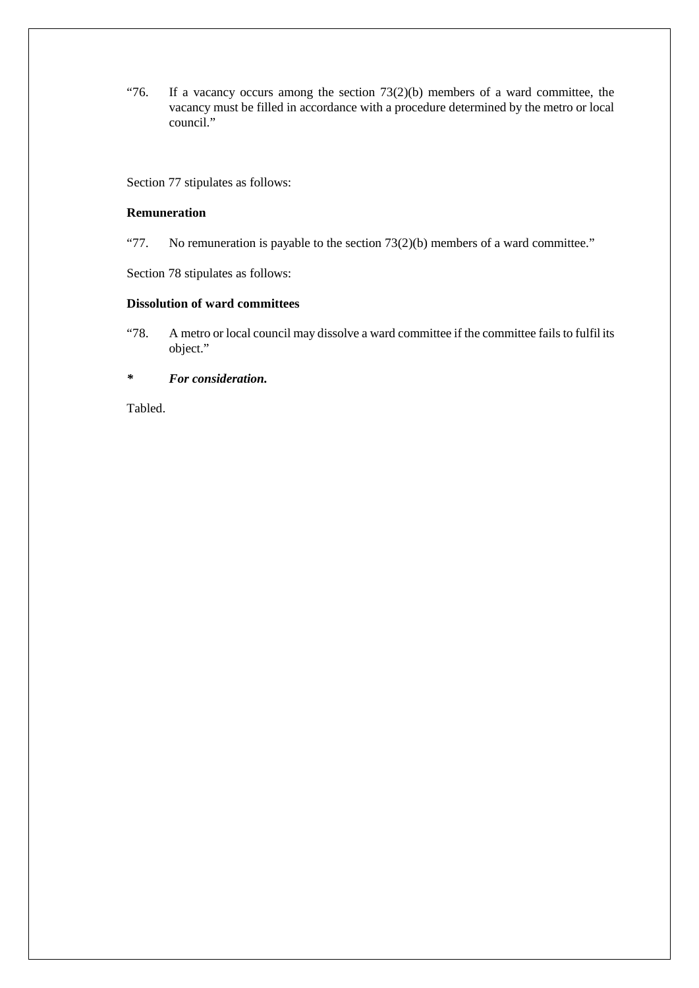"76. If a vacancy occurs among the section  $73(2)(b)$  members of a ward committee, the vacancy must be filled in accordance with a procedure determined by the metro or local council."

Section 77 stipulates as follows:

#### **Remuneration**

"77. No remuneration is payable to the section  $73(2)(b)$  members of a ward committee."

Section 78 stipulates as follows:

#### **Dissolution of ward committees**

"78. A metro or local council may dissolve a ward committee if the committee fails to fulfil its object."

*\* For consideration.*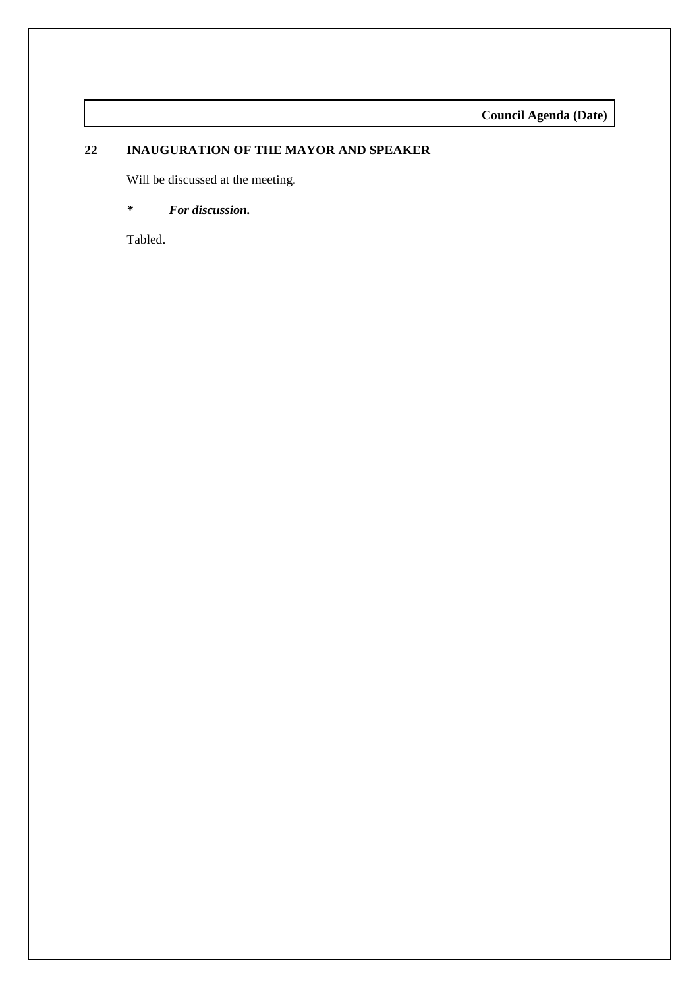**Council Agenda (Date)**

# **22 INAUGURATION OF THE MAYOR AND SPEAKER**

Will be discussed at the meeting.

# *\* For discussion.*